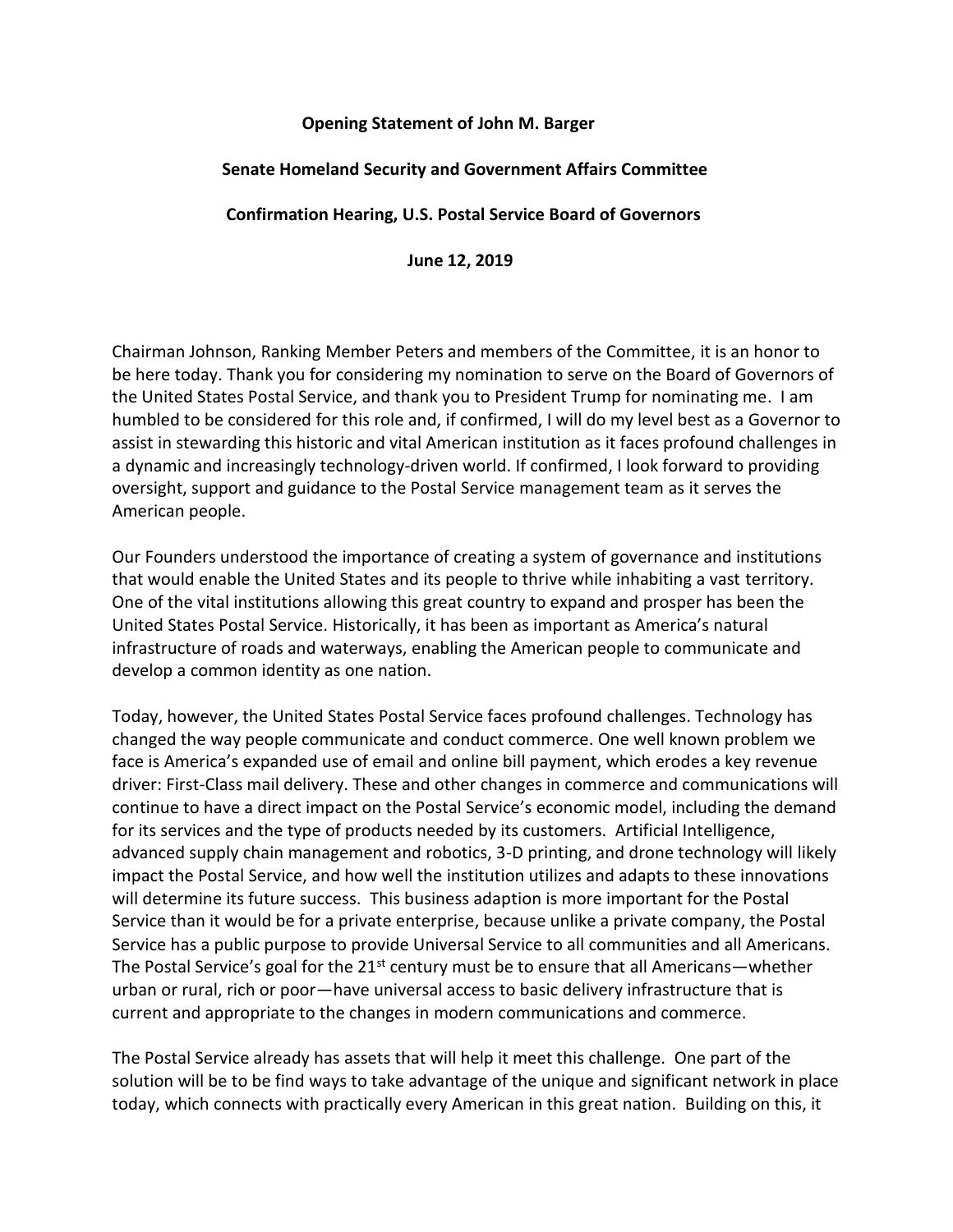## **Opening Statement of John M. Barger**

## **Senate Homeland Security and Government Affairs Committee**

## **Confirmation Hearing, U.S. Postal Service Board of Governors**

**June 12, 2019**

Chairman Johnson, Ranking Member Peters and members of the Committee, it is an honor to be here today. Thank you for considering my nomination to serve on the Board of Governors of the United States Postal Service, and thank you to President Trump for nominating me. I am humbled to be considered for this role and, if confirmed, I will do my level best as a Governor to assist in stewarding this historic and vital American institution as it faces profound challenges in a dynamic and increasingly technology-driven world. If confirmed, I look forward to providing oversight, support and guidance to the Postal Service management team as it serves the American people.

Our Founders understood the importance of creating a system of governance and institutions that would enable the United States and its people to thrive while inhabiting a vast territory. One of the vital institutions allowing this great country to expand and prosper has been the United States Postal Service. Historically, it has been as important as America's natural infrastructure of roads and waterways, enabling the American people to communicate and develop a common identity as one nation.

Today, however, the United States Postal Service faces profound challenges. Technology has changed the way people communicate and conduct commerce. One well known problem we face is America's expanded use of email and online bill payment, which erodes a key revenue driver: First-Class mail delivery. These and other changes in commerce and communications will continue to have a direct impact on the Postal Service's economic model, including the demand for its services and the type of products needed by its customers. Artificial Intelligence, advanced supply chain management and robotics, 3-D printing, and drone technology will likely impact the Postal Service, and how well the institution utilizes and adapts to these innovations will determine its future success. This business adaption is more important for the Postal Service than it would be for a private enterprise, because unlike a private company, the Postal Service has a public purpose to provide Universal Service to all communities and all Americans. The Postal Service's goal for the  $21^{st}$  century must be to ensure that all Americans—whether urban or rural, rich or poor—have universal access to basic delivery infrastructure that is current and appropriate to the changes in modern communications and commerce.

The Postal Service already has assets that will help it meet this challenge. One part of the solution will be to be find ways to take advantage of the unique and significant network in place today, which connects with practically every American in this great nation. Building on this, it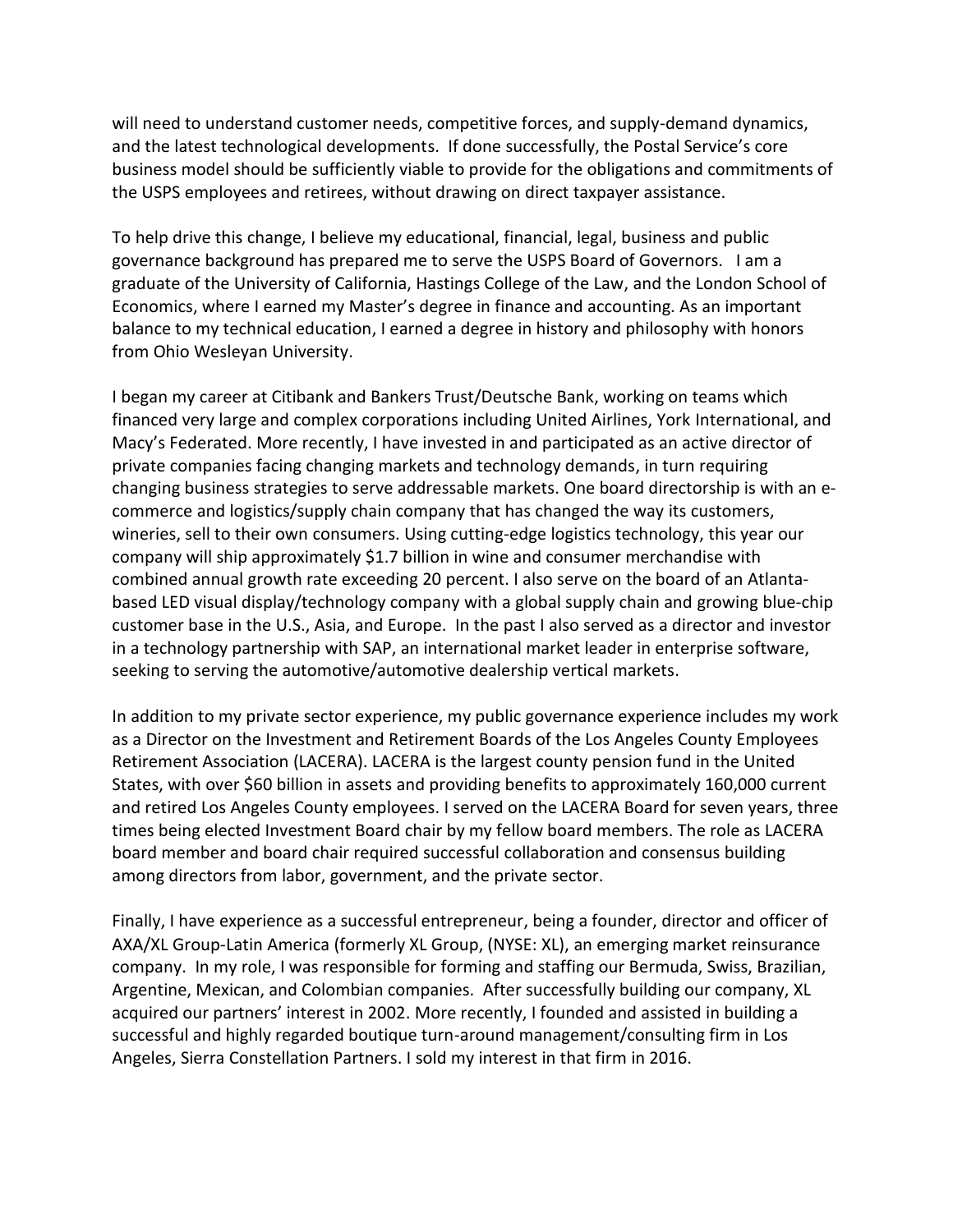will need to understand customer needs, competitive forces, and supply-demand dynamics, and the latest technological developments. If done successfully, the Postal Service's core business model should be sufficiently viable to provide for the obligations and commitments of the USPS employees and retirees, without drawing on direct taxpayer assistance.

To help drive this change, I believe my educational, financial, legal, business and public governance background has prepared me to serve the USPS Board of Governors. I am a graduate of the University of California, Hastings College of the Law, and the London School of Economics, where I earned my Master's degree in finance and accounting. As an important balance to my technical education, I earned a degree in history and philosophy with honors from Ohio Wesleyan University.

I began my career at Citibank and Bankers Trust/Deutsche Bank, working on teams which financed very large and complex corporations including United Airlines, York International, and Macy's Federated. More recently, I have invested in and participated as an active director of private companies facing changing markets and technology demands, in turn requiring changing business strategies to serve addressable markets. One board directorship is with an ecommerce and logistics/supply chain company that has changed the way its customers, wineries, sell to their own consumers. Using cutting-edge logistics technology, this year our company will ship approximately \$1.7 billion in wine and consumer merchandise with combined annual growth rate exceeding 20 percent. I also serve on the board of an Atlantabased LED visual display/technology company with a global supply chain and growing blue-chip customer base in the U.S., Asia, and Europe. In the past I also served as a director and investor in a technology partnership with SAP, an international market leader in enterprise software, seeking to serving the automotive/automotive dealership vertical markets.

In addition to my private sector experience, my public governance experience includes my work as a Director on the Investment and Retirement Boards of the Los Angeles County Employees Retirement Association (LACERA). LACERA is the largest county pension fund in the United States, with over \$60 billion in assets and providing benefits to approximately 160,000 current and retired Los Angeles County employees. I served on the LACERA Board for seven years, three times being elected Investment Board chair by my fellow board members. The role as LACERA board member and board chair required successful collaboration and consensus building among directors from labor, government, and the private sector.

Finally, I have experience as a successful entrepreneur, being a founder, director and officer of AXA/XL Group-Latin America (formerly XL Group, (NYSE: XL), an emerging market reinsurance company. In my role, I was responsible for forming and staffing our Bermuda, Swiss, Brazilian, Argentine, Mexican, and Colombian companies. After successfully building our company, XL acquired our partners' interest in 2002. More recently, I founded and assisted in building a successful and highly regarded boutique turn-around management/consulting firm in Los Angeles, Sierra Constellation Partners. I sold my interest in that firm in 2016.